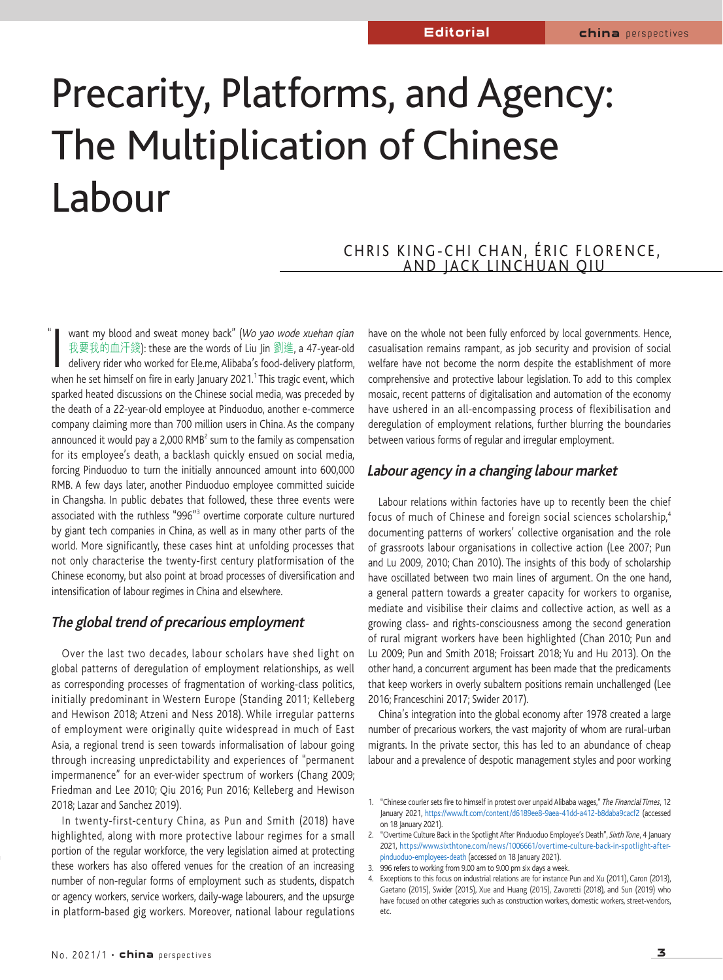# Precarity, Platforms, and Agency: The Multiplication of Chinese Labour

## CHRIS KING-CHI CHAN, ÉRIC FLORENCE, AND JACK LINCHUAN QIU

want my blood and sweat money back" (Wo *yao wode xuehan qian*<br>我要我的血汗錢): these are the words of Liu Jin 劉進, a 47-year-old<br>delivery rider who worked for Ele.me, Alibaba's food-delivery platform<br>when he set himself on fire want my blood and sweat money back" (Wo yao wode xuehan qian 我要我的血汗錢): these are the words of Liu Jin 劉進, a 47-year-old delivery rider who worked for Ele.me, Alibaba's food-delivery platform, sparked heated discussions on the Chinese social media, was preceded by the death of a 22-year-old employee at Pinduoduo, another e-commerce company claiming more than 700 million users in China. As the company announced it would pay a 2,000 RMB<sup>2</sup> sum to the family as compensation for its employee's death, a backlash quickly ensued on social media, forcing Pinduoduo to turn the initially announced amount into 600,000 RMB. A few days later, another Pinduoduo employee committed suicide in Changsha. In public debates that followed, these three events were associated with the ruthless "996"3 overtime corporate culture nurtured by giant tech companies in China, as well as in many other parts of the world. More significantly, these cases hint at unfolding processes that not only characterise the twenty-first century platformisation of the Chinese economy, but also point at broad processes of diversification and intensification of labour regimes in China and elsewhere. "

### **The global trend of precarious employment**

Over the last two decades, labour scholars have shed light on global patterns of deregulation of employment relationships, as well as corresponding processes of fragmentation of working-class politics, initially predominant in Western Europe (Standing 2011; Kelleberg and Hewison 2018; Atzeni and Ness 2018). While irregular patterns of employment were originally quite widespread in much of East Asia, a regional trend is seen towards informalisation of labour going through increasing unpredictability and experiences of "permanent impermanence" for an ever-wider spectrum of workers (Chang 2009; Friedman and Lee 2010; Qiu 2016; Pun 2016; Kelleberg and Hewison 2018; Lazar and Sanchez 2019).

In twenty-first-century China, as Pun and Smith (2018) have highlighted, along with more protective labour regimes for a small portion of the regular workforce, the very legislation aimed at protecting these workers has also offered venues for the creation of an increasing number of non-regular forms of employment such as students, dispatch or agency workers, service workers, daily-wage labourers, and the upsurge in platform-based gig workers. Moreover, national labour regulations

have on the whole not been fully enforced by local governments. Hence, casualisation remains rampant, as job security and provision of social welfare have not become the norm despite the establishment of more comprehensive and protective labour legislation. To add to this complex mosaic, recent patterns of digitalisation and automation of the economy have ushered in an all-encompassing process of flexibilisation and deregulation of employment relations, further blurring the boundaries between various forms of regular and irregular employment.

#### **Labour agency in a changing labour market**

Labour relations within factories have up to recently been the chief focus of much of Chinese and foreign social sciences scholarship, 4 documenting patterns of workers' collective organisation and the role of grassroots labour organisations in collective action (Lee 2007; Pun and Lu 2009, 2010; Chan 2010). The insights of this body of scholarship have oscillated between two main lines of argument. On the one hand, a general pattern towards a greater capacity for workers to organise, mediate and visibilise their claims and collective action, as well as a growing class- and rights-consciousness among the second generation of rural migrant workers have been highlighted (Chan 2010; Pun and Lu 2009; Pun and Smith 2018; Froissart 2018; Yu and Hu 2013). On the other hand, a concurrent argument has been made that the predicaments that keep workers in overly subaltern positions remain unchallenged (Lee 2016; Franceschini 2017; Swider 2017).

China's integration into the global economy after 1978 created a large number of precarious workers, the vast majority of whom are rural-urban migrants. In the private sector, this has led to an abundance of cheap labour and a prevalence of despotic management styles and poor working

<sup>1. &</sup>quot;Chinese courier sets fire to himself in protest over unpaid Alibaba wages," The Financial Times, 12 January 2021, https://www.ft.com/content/d6189ee8-9aea-41dd-a412-b8daba9cacf2 (accessed on 18 Ianuary 2021).

<sup>2. &</sup>quot;Overtime Culture Back in the Spotlight After Pinduoduo Employee's Death", Sixth Tone, 4 January 2021, https://www.sixthtone.com/news/1006661/overtime-culture-back-in-spotlight-afterpinduoduo-employees-death (accessed on 18 January 2021).

<sup>3.</sup> 996 refers to working from 9.00 am to 9.00 pm six days a week.

<sup>4.</sup> Exceptions to this focus on industrial relations are for instance Pun and Xu (2011), Caron (2013), Gaetano (2015), Swider (2015), Xue and Huang (2015), Zavoretti (2018), and Sun (2019) who have focused on other categories such as construction workers, domestic workers, street-vendors, etc.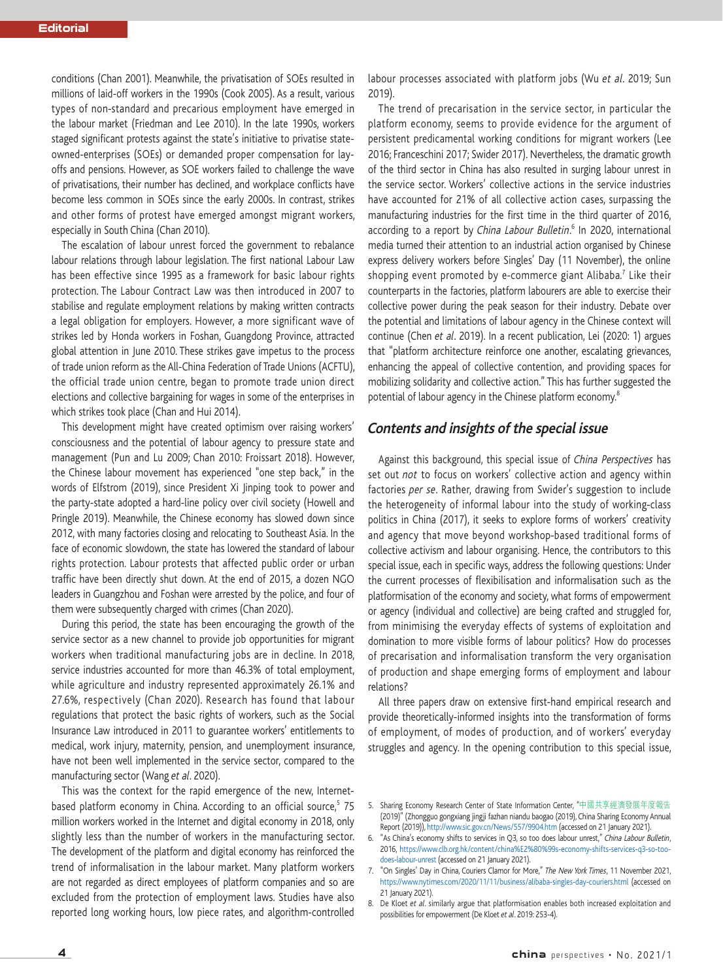conditions (Chan 2001). Meanwhile, the privatisation of SOEs resulted in millions of laid-off workers in the 1990s (Cook 2005). As a result, various types of non-standard and precarious employment have emerged in the labour market (Friedman and Lee 2010). In the late 1990s, workers staged significant protests against the state's initiative to privatise stateowned-enterprises (SOEs) or demanded proper compensation for layoffs and pensions. However, as SOE workers failed to challenge the wave of privatisations, their number has declined, and workplace conflicts have become less common in SOEs since the early 2000s. In contrast, strikes and other forms of protest have emerged amongst migrant workers, especially in South China (Chan 2010).

The escalation of labour unrest forced the government to rebalance labour relations through labour legislation. The first national Labour Law has been effective since 1995 as a framework for basic labour rights protection. The Labour Contract Law was then introduced in 2007 to stabilise and regulate employment relations by making written contracts a legal obligation for employers. However, a more significant wave of strikes led by Honda workers in Foshan, Guangdong Province, attracted global attention in June 2010. These strikes gave impetus to the process of trade union reform as the All-China Federation of Trade Unions (ACFTU), the official trade union centre, began to promote trade union direct elections and collective bargaining for wages in some of the enterprises in which strikes took place (Chan and Hui 2014).

This development might have created optimism over raising workers' consciousness and the potential of labour agency to pressure state and management (Pun and Lu 2009; Chan 2010: Froissart 2018). However, the Chinese labour movement has experienced "one step back," in the words of Elfstrom (2019), since President Xi Jinping took to power and the party-state adopted a hard-line policy over civil society (Howell and Pringle 2019). Meanwhile, the Chinese economy has slowed down since 2012, with many factories closing and relocating to Southeast Asia. In the face of economic slowdown, the state has lowered the standard of labour rights protection. Labour protests that affected public order or urban traffic have been directly shut down. At the end of 2015, a dozen NGO leaders in Guangzhou and Foshan were arrested by the police, and four of them were subsequently charged with crimes (Chan 2020).

During this period, the state has been encouraging the growth of the service sector as a new channel to provide job opportunities for migrant workers when traditional manufacturing jobs are in decline. In 2018, service industries accounted for more than 46.3% of total employment, while agriculture and industry represented approximately 26.1% and 27.6%, respectively (Chan 2020). Research has found that labour regulations that protect the basic rights of workers, such as the Social Insurance Law introduced in 2011 to guarantee workers' entitlements to medical, work injury, maternity, pension, and unemployment insurance, have not been well implemented in the service sector, compared to the manufacturing sector (Wang et al. 2020).

This was the context for the rapid emergence of the new, Internetbased platform economy in China. According to an official source,<sup>5</sup> 75 million workers worked in the Internet and digital economy in 2018, only slightly less than the number of workers in the manufacturing sector. The development of the platform and digital economy has reinforced the trend of informalisation in the labour market. Many platform workers are not regarded as direct employees of platform companies and so are excluded from the protection of employment laws. Studies have also reported long working hours, low piece rates, and algorithm-controlled

labour processes associated with platform jobs (Wu et al. 2019; Sun 2019).

The trend of precarisation in the service sector, in particular the platform economy, seems to provide evidence for the argument of persistent predicamental working conditions for migrant workers (Lee 2016; Franceschini 2017; Swider 2017). Nevertheless, the dramatic growth of the third sector in China has also resulted in surging labour unrest in the service sector. Workers' collective actions in the service industries have accounted for 21% of all collective action cases, surpassing the manufacturing industries for the first time in the third quarter of 2016, according to a report by China Labour Bulletin.<sup>6</sup> In 2020, international media turned their attention to an industrial action organised by Chinese express delivery workers before Singles' Day (11 November), the online shopping event promoted by e-commerce giant Alibaba. <sup>7</sup> Like their counterparts in the factories, platform labourers are able to exercise their collective power during the peak season for their industry. Debate over the potential and limitations of labour agency in the Chinese context will continue (Chen et al. 2019). In a recent publication, Lei (2020: 1) argues that "platform architecture reinforce one another, escalating grievances, enhancing the appeal of collective contention, and providing spaces for mobilizing solidarity and collective action." This has further suggested the potential of labour agency in the Chinese platform economy.<sup>8</sup>

#### **Contents and insights of the special issue**

Against this background, this special issue of *China Perspectives* has set out not to focus on workers' collective action and agency within factories per se. Rather, drawing from Swider's suggestion to include the heterogeneity of informal labour into the study of working-class politics in China (2017), it seeks to explore forms of workers' creativity and agency that move beyond workshop-based traditional forms of collective activism and labour organising. Hence, the contributors to this special issue, each in specific ways, address the following questions: Under the current processes of flexibilisation and informalisation such as the platformisation of the economy and society, what forms of empowerment or agency (individual and collective) are being crafted and struggled for, from minimising the everyday effects of systems of exploitation and domination to more visible forms of labour politics? How do processes of precarisation and informalisation transform the very organisation of production and shape emerging forms of employment and labour relations?

All three papers draw on extensive first-hand empirical research and provide theoretically-informed insights into the transformation of forms of employment, of modes of production, and of workers' everyday struggles and agency. In the opening contribution to this special issue,

<sup>5.</sup> Sharing Economy Research Center of State Information Center, "中國共享經濟發展年度報告 (2019)" (Zhongguo gongxiang jingji fazhan niandu baogao (2019), China Sharing Economy Annual Report (2019)), http://www.sic.gov.cn/News/557/9904.htm (accessed on 21 January 2021).

<sup>6.</sup> "As China's economy shifts to services in Q3, so too does labour unrest," China Labour Bulletin, 2016, https://www.clb.org.hk/content/china%E2%80%99s-economy-shifts-services-q3-so-toodoes-labour-unrest (accessed on 21 January 2021).

<sup>7. &</sup>quot;On Singles' Day in China, Couriers Clamor for More," The New York Times, 11 November 2021, https://www.nytimes.com/2020/11/11/business/alibaba-singles-day-couriers.html (accessed on 21 **January 2021**).

<sup>8.</sup> De Kloet et al. similarly argue that platformisation enables both increased exploitation and possibilities for empowerment (De Kloet et al. 2019: 253-4).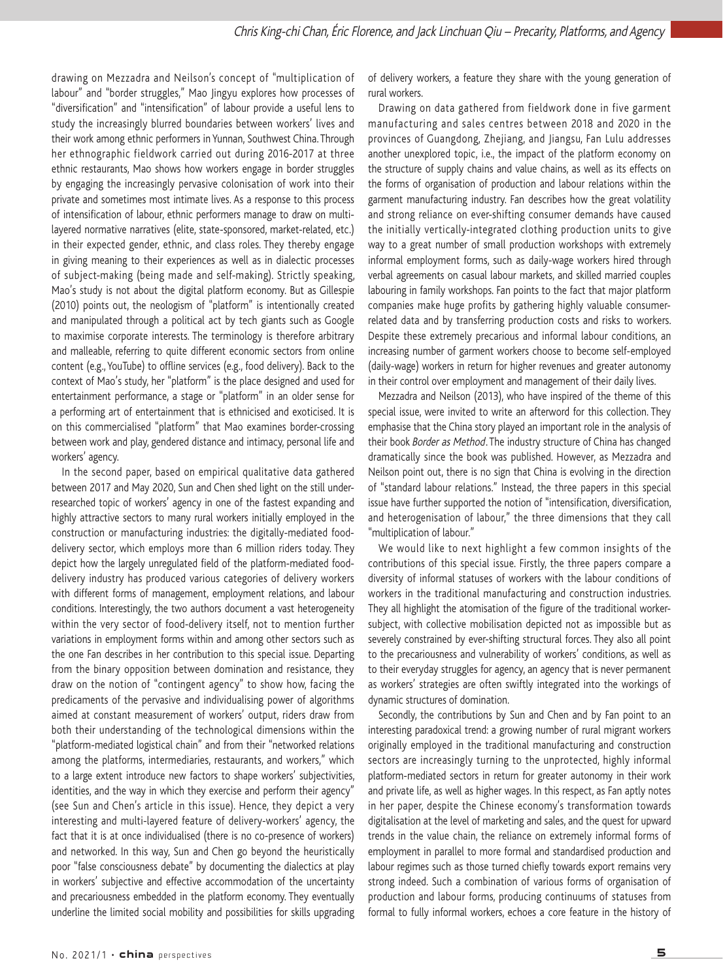drawing on Mezzadra and Neilson's concept of "multiplication of labour" and "border struggles," Mao Jingyu explores how processes of "diversification" and "intensification" of labour provide a useful lens to study the increasingly blurred boundaries between workers' lives and their work among ethnic performers in Yunnan, Southwest China. Through her ethnographic fieldwork carried out during 2016-2017 at three ethnic restaurants, Mao shows how workers engage in border struggles by engaging the increasingly pervasive colonisation of work into their private and sometimes most intimate lives. As a response to this process of intensification of labour, ethnic performers manage to draw on multilayered normative narratives (elite, state-sponsored, market-related, etc.) in their expected gender, ethnic, and class roles. They thereby engage in giving meaning to their experiences as well as in dialectic processes of subject-making (being made and self-making). Strictly speaking, Mao's study is not about the digital platform economy. But as Gillespie (2010) points out, the neologism of "platform" is intentionally created and manipulated through a political act by tech giants such as Google to maximise corporate interests. The terminology is therefore arbitrary and malleable, referring to quite different economic sectors from online content (e.g., YouTube) to offline services (e.g., food delivery). Back to the context of Mao's study, her "platform" is the place designed and used for entertainment performance, a stage or "platform" in an older sense for a performing art of entertainment that is ethnicised and exoticised. It is on this commercialised "platform" that Mao examines border-crossing between work and play, gendered distance and intimacy, personal life and workers' agency.

In the second paper, based on empirical qualitative data gathered between 2017 and May 2020, Sun and Chen shed light on the still underresearched topic of workers' agency in one of the fastest expanding and highly attractive sectors to many rural workers initially employed in the construction or manufacturing industries: the digitally-mediated fooddelivery sector, which employs more than 6 million riders today. They depict how the largely unregulated field of the platform-mediated fooddelivery industry has produced various categories of delivery workers with different forms of management, employment relations, and labour conditions. Interestingly, the two authors document a vast heterogeneity within the very sector of food-delivery itself, not to mention further variations in employment forms within and among other sectors such as the one Fan describes in her contribution to this special issue. Departing from the binary opposition between domination and resistance, they draw on the notion of "contingent agency" to show how, facing the predicaments of the pervasive and individualising power of algorithms aimed at constant measurement of workers' output, riders draw from both their understanding of the technological dimensions within the "platform-mediated logistical chain" and from their "networked relations among the platforms, intermediaries, restaurants, and workers," which to a large extent introduce new factors to shape workers' subjectivities, identities, and the way in which they exercise and perform their agency" (see Sun and Chen's article in this issue). Hence, they depict a very interesting and multi-layered feature of delivery-workers' agency, the fact that it is at once individualised (there is no co-presence of workers) and networked. In this way, Sun and Chen go beyond the heuristically poor "false consciousness debate" by documenting the dialectics at play in workers' subjective and effective accommodation of the uncertainty and precariousness embedded in the platform economy. They eventually underline the limited social mobility and possibilities for skills upgrading of delivery workers, a feature they share with the young generation of rural workers.

Drawing on data gathered from fieldwork done in five garment manufacturing and sales centres between 2018 and 2020 in the provinces of Guangdong, Zhejiang, and Jiangsu, Fan Lulu addresses another unexplored topic, i.e., the impact of the platform economy on the structure of supply chains and value chains, as well as its effects on the forms of organisation of production and labour relations within the garment manufacturing industry. Fan describes how the great volatility and strong reliance on ever-shifting consumer demands have caused the initially vertically-integrated clothing production units to give way to a great number of small production workshops with extremely informal employment forms, such as daily-wage workers hired through verbal agreements on casual labour markets, and skilled married couples labouring in family workshops. Fan points to the fact that major platform companies make huge profits by gathering highly valuable consumerrelated data and by transferring production costs and risks to workers. Despite these extremely precarious and informal labour conditions, an increasing number of garment workers choose to become self-employed (daily-wage) workers in return for higher revenues and greater autonomy in their control over employment and management of their daily lives.

Mezzadra and Neilson (2013), who have inspired of the theme of this special issue, were invited to write an afterword for this collection. They emphasise that the China story played an important role in the analysis of their book Border as Method. The industry structure of China has changed dramatically since the book was published. However, as Mezzadra and Neilson point out, there is no sign that China is evolving in the direction of "standard labour relations." Instead, the three papers in this special issue have further supported the notion of "intensification, diversification, and heterogenisation of labour," the three dimensions that they call "multiplication of labour."

We would like to next highlight a few common insights of the contributions of this special issue. Firstly, the three papers compare a diversity of informal statuses of workers with the labour conditions of workers in the traditional manufacturing and construction industries. They all highlight the atomisation of the figure of the traditional workersubject, with collective mobilisation depicted not as impossible but as severely constrained by ever-shifting structural forces. They also all point to the precariousness and vulnerability of workers' conditions, as well as to their everyday struggles for agency, an agency that is never permanent as workers' strategies are often swiftly integrated into the workings of dynamic structures of domination.

Secondly, the contributions by Sun and Chen and by Fan point to an interesting paradoxical trend: a growing number of rural migrant workers originally employed in the traditional manufacturing and construction sectors are increasingly turning to the unprotected, highly informal platform-mediated sectors in return for greater autonomy in their work and private life, as well as higher wages. In this respect, as Fan aptly notes in her paper, despite the Chinese economy's transformation towards digitalisation at the level of marketing and sales, and the quest for upward trends in the value chain, the reliance on extremely informal forms of employment in parallel to more formal and standardised production and labour regimes such as those turned chiefly towards export remains very strong indeed. Such a combination of various forms of organisation of production and labour forms, producing continuums of statuses from formal to fully informal workers, echoes a core feature in the history of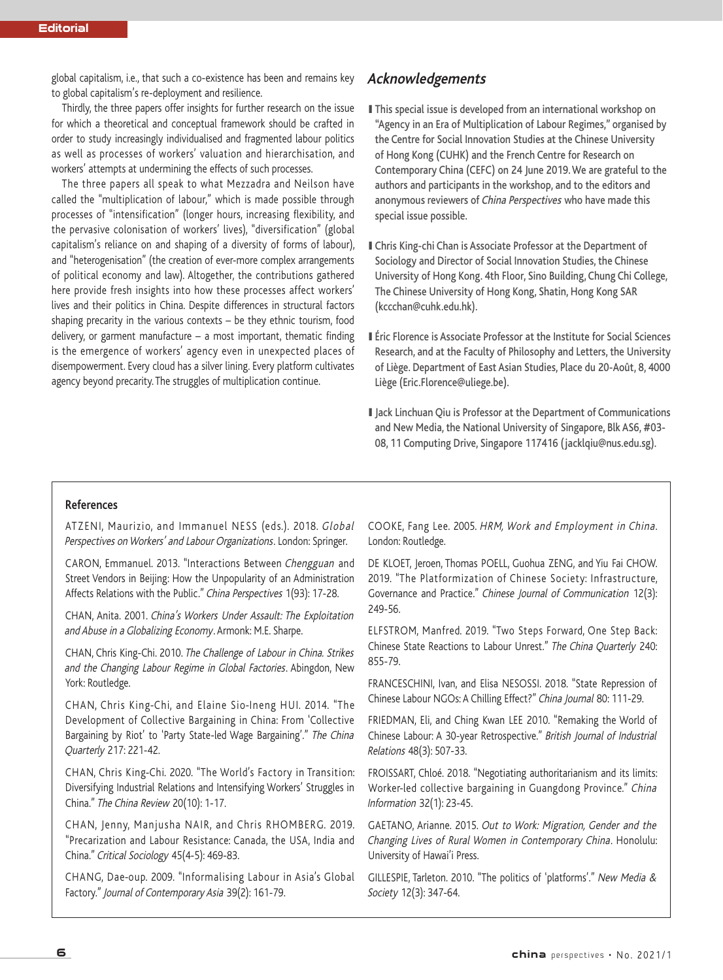global capitalism, i.e., that such a co-existence has been and remains key to global capitalism's re-deployment and resilience.

Thirdly, the three papers offer insights for further research on the issue for which a theoretical and conceptual framework should be crafted in order to study increasingly individualised and fragmented labour politics as well as processes of workers' valuation and hierarchisation, and workers' attempts at undermining the effects of such processes.

The three papers all speak to what Mezzadra and Neilson have called the "multiplication of labour," which is made possible through processes of "intensification" (longer hours, increasing flexibility, and the pervasive colonisation of workers' lives), "diversification" (global capitalism's reliance on and shaping of a diversity of forms of labour), and "heterogenisation" (the creation of ever-more complex arrangements of political economy and law). Altogether, the contributions gathered here provide fresh insights into how these processes affect workers' lives and their politics in China. Despite differences in structural factors shaping precarity in the various contexts – be they ethnic tourism, food delivery, or garment manufacture  $-$  a most important, thematic finding is the emergence of workers' agency even in unexpected places of disempowerment. Every cloud has a silver lining. Every platform cultivates agency beyond precarity. The struggles of multiplication continue.

## **Acknowledgements**

- I This special issue is developed from an international workshop on "Agency in an Era of Multiplication of Labour Regimes," organised by the Centre for Social Innovation Studies at the Chinese University of Hong Kong (CUHK) and the French Centre for Research on Contemporary China (CEFC) on 24 June 2019. We are grateful to the authors and participants in the workshop, and to the editors and anonymous reviewers of China Perspectives who have made this special issue possible.
- IChris King-chi Chan is Associate Professor at the Department of Sociology and Director of Social Innovation Studies, the Chinese University of Hong Kong. 4th Floor, Sino Building, Chung Chi College, The Chinese University of Hong Kong, Shatin, Hong Kong SAR (kccchan@cuhk.edu.hk).
- I Éric Florence is Associate Professor at the Institute for Social Sciences Research, and at the Faculty of Philosophy and Letters, the University of Liège. Department of East Asian Studies, Place du 20-Août, 8, 4000 Liège (Eric.Florence@uliege.be).
- I Jack Linchuan Qiu is Professor at the Department of Communications and New Media, the National University of Singapore, Blk AS6, #03- 08, 11 Computing Drive, Singapore 117416 (jacklqiu@nus.edu.sg).

#### **References**

ATZENI, Maurizio, and Immanuel NESS (eds.). 2018. Global Perspectives on Workers' and Labour Organizations. London: Springer.

CARON, Emmanuel. 2013. "Interactions Between Chengguan and Street Vendors in Beijing: How the Unpopularity of an Administration Affects Relations with the Public." China Perspectives 1(93): 17-28.

CHAN, Anita. 2001. China's Workers Under Assault: The Exploitation and Abuse in <sup>a</sup> Globalizing Economy. Armonk: M.E. Sharpe.

CHAN, Chris King-Chi. 2010. The Challenge of Labour in China. Strikes and the Changing Labour Regime in Global Factories. Abingdon, New York: Routledge.

CHAN, Chris King-Chi, and Elaine Sio-Ineng HUI. 2014. "The Development of Collective Bargaining in China: From 'Collective Bargaining by Riot' to 'Party State-led Wage Bargaining'." The China Quarterly 217: 221-42.

CHAN, Chris King-Chi. 2020. "The World's Factory in Transition: Diversifying Industrial Relations and Intensifying Workers' Struggles in China." The China Review 20(10): 1-17.

CHAN, Jenny, Manjusha NAIR, and Chris RHOMBERG. 2019. "Precarization and Labour Resistance: Canada, the USA, India and China." Critical Sociology 45(4-5): 469-83.

CHANG, Dae-oup. 2009. "Informalising Labour in Asia's Global Factory." Journal of Contemporary Asia 39(2): 161-79.

COOKE, Fang Lee. 2005. HRM, Work and Employment in China. London: Routledge.

DE KLOET, Jeroen, Thomas POELL, Guohua ZENG, and Yiu Fai CHOW. 2019. "The Platformization of Chinese Society: Infrastructure, Governance and Practice." Chinese Journal of Communication 12(3): 249-56.

ELFSTROM, Manfred. 2019. "Two Steps Forward, One Step Back: Chinese State Reactions to Labour Unrest." The China Quarterly 240: 855-79.

FRANCESCHINI, Ivan, and Elisa NESOSSI. 2018. "State Repression of Chinese Labour NGOs: A Chilling Effect?" China Journal 80: 111-29.

FRIEDMAN, Eli, and Ching Kwan LEE 2010. "Remaking the World of Chinese Labour: A 30-year Retrospective." British Journal of Industrial Relations 48(3): 507-33.

FROISSART, Chloé. 2018. "Negotiating authoritarianism and its limits: Worker-led collective bargaining in Guangdong Province." China Information 32(1): 23-45.

GAETANO, Arianne. 2015. Out to Work: Migration, Gender and the Changing Lives of Rural Women in Contemporary China. Honolulu: University of Hawai'i Press.

GILLESPIE, Tarleton. 2010. "The politics of 'platforms'." New Media & Society 12(3): 347-64.